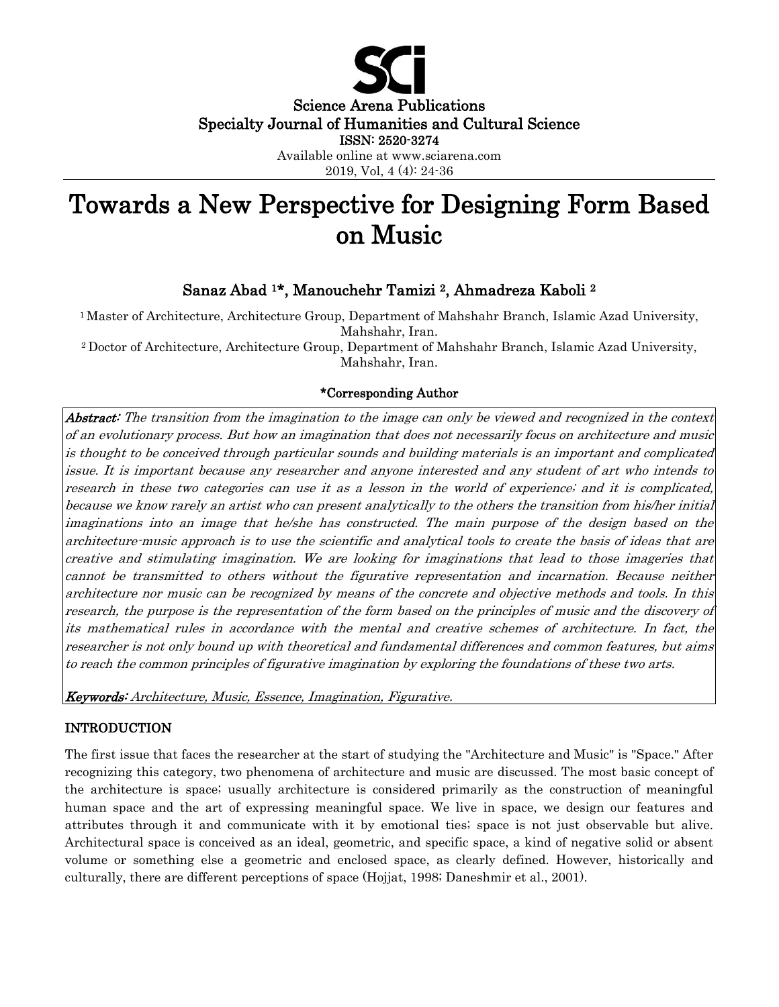

Science Arena Publications Specialty Journal of Humanities and Cultural Science ISSN: 2520-3274

> Available online at www.sciarena.com 2019, Vol, 4 (4): 24-36

# Towards a New Perspective for Designing Form Based on Music

# Sanaz Abad <sup>1</sup>\*, Manouchehr Tamizi <sup>2</sup>, Ahmadreza Kaboli 2

<sup>1</sup> Master of Architecture, Architecture Group, Department of Mahshahr Branch, Islamic Azad University, Mahshahr, Iran.

<sup>2</sup>Doctor of Architecture, Architecture Group, Department of Mahshahr Branch, Islamic Azad University, Mahshahr, Iran.

### \*Corresponding Author

Abstract: The transition from the imagination to the image can only be viewed and recognized in the context of an evolutionary process. But how an imagination that does not necessarily focus on architecture and music is thought to be conceived through particular sounds and building materials is an important and complicated issue. It is important because any researcher and anyone interested and any student of art who intends to research in these two categories can use it as a lesson in the world of experience; and it is complicated, because we know rarely an artist who can present analytically to the others the transition from his/her initial imaginations into an image that he/she has constructed. The main purpose of the design based on the architecture-music approach is to use the scientific and analytical tools to create the basis of ideas that are creative and stimulating imagination. We are looking for imaginations that lead to those imageries that cannot be transmitted to others without the figurative representation and incarnation. Because neither architecture nor music can be recognized by means of the concrete and objective methods and tools. In this research, the purpose is the representation of the form based on the principles of music and the discovery of its mathematical rules in accordance with the mental and creative schemes of architecture. In fact, the researcher is not only bound up with theoretical and fundamental differences and common features, but aims to reach the common principles of figurative imagination by exploring the foundations of these two arts.

Keywords: Architecture, Music, Essence, Imagination, Figurative.

#### INTRODUCTION

The first issue that faces the researcher at the start of studying the "Architecture and Music" is "Space." After recognizing this category, two phenomena of architecture and music are discussed. The most basic concept of the architecture is space; usually architecture is considered primarily as the construction of meaningful human space and the art of expressing meaningful space. We live in space, we design our features and attributes through it and communicate with it by emotional ties; space is not just observable but alive. Architectural space is conceived as an ideal, geometric, and specific space, a kind of negative solid or absent volume or something else a geometric and enclosed space, as clearly defined. However, historically and culturally, there are different perceptions of space (Hojjat, 1998; Daneshmir et al., 2001).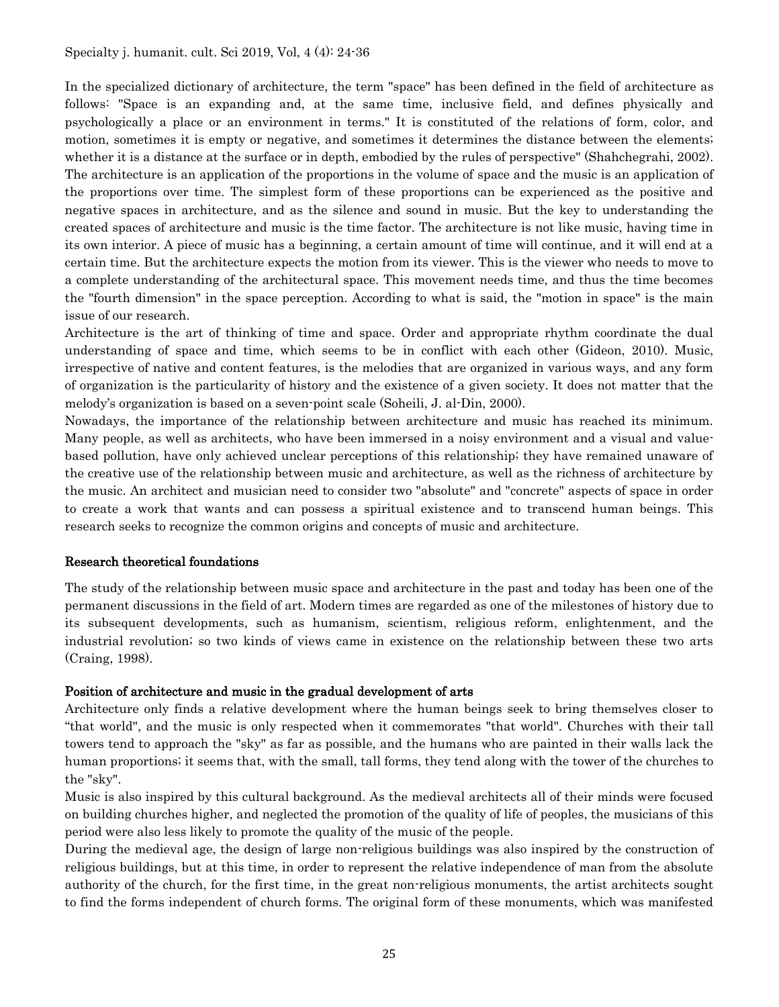In the specialized dictionary of architecture, the term "space" has been defined in the field of architecture as follows: "Space is an expanding and, at the same time, inclusive field, and defines physically and psychologically a place or an environment in terms." It is constituted of the relations of form, color, and motion, sometimes it is empty or negative, and sometimes it determines the distance between the elements; whether it is a distance at the surface or in depth, embodied by the rules of perspective" (Shahchegrahi, 2002). The architecture is an application of the proportions in the volume of space and the music is an application of the proportions over time. The simplest form of these proportions can be experienced as the positive and negative spaces in architecture, and as the silence and sound in music. But the key to understanding the created spaces of architecture and music is the time factor. The architecture is not like music, having time in its own interior. A piece of music has a beginning, a certain amount of time will continue, and it will end at a certain time. But the architecture expects the motion from its viewer. This is the viewer who needs to move to a complete understanding of the architectural space. This movement needs time, and thus the time becomes the "fourth dimension" in the space perception. According to what is said, the "motion in space" is the main issue of our research.

Architecture is the art of thinking of time and space. Order and appropriate rhythm coordinate the dual understanding of space and time, which seems to be in conflict with each other (Gideon, 2010). Music, irrespective of native and content features, is the melodies that are organized in various ways, and any form of organization is the particularity of history and the existence of a given society. It does not matter that the melody's organization is based on a seven-point scale (Soheili, J. al-Din, 2000).

Nowadays, the importance of the relationship between architecture and music has reached its minimum. Many people, as well as architects, who have been immersed in a noisy environment and a visual and valuebased pollution, have only achieved unclear perceptions of this relationship; they have remained unaware of the creative use of the relationship between music and architecture, as well as the richness of architecture by the music. An architect and musician need to consider two "absolute" and "concrete" aspects of space in order to create a work that wants and can possess a spiritual existence and to transcend human beings. This research seeks to recognize the common origins and concepts of music and architecture.

#### Research theoretical foundations

The study of the relationship between music space and architecture in the past and today has been one of the permanent discussions in the field of art. Modern times are regarded as one of the milestones of history due to its subsequent developments, such as humanism, scientism, religious reform, enlightenment, and the industrial revolution; so two kinds of views came in existence on the relationship between these two arts (Craing, 1998).

### Position of architecture and music in the gradual development of arts

Architecture only finds a relative development where the human beings seek to bring themselves closer to "that world", and the music is only respected when it commemorates "that world". Churches with their tall towers tend to approach the "sky" as far as possible, and the humans who are painted in their walls lack the human proportions; it seems that, with the small, tall forms, they tend along with the tower of the churches to the "sky".

Music is also inspired by this cultural background. As the medieval architects all of their minds were focused on building churches higher, and neglected the promotion of the quality of life of peoples, the musicians of this period were also less likely to promote the quality of the music of the people.

During the medieval age, the design of large non-religious buildings was also inspired by the construction of religious buildings, but at this time, in order to represent the relative independence of man from the absolute authority of the church, for the first time, in the great non-religious monuments, the artist architects sought to find the forms independent of church forms. The original form of these monuments, which was manifested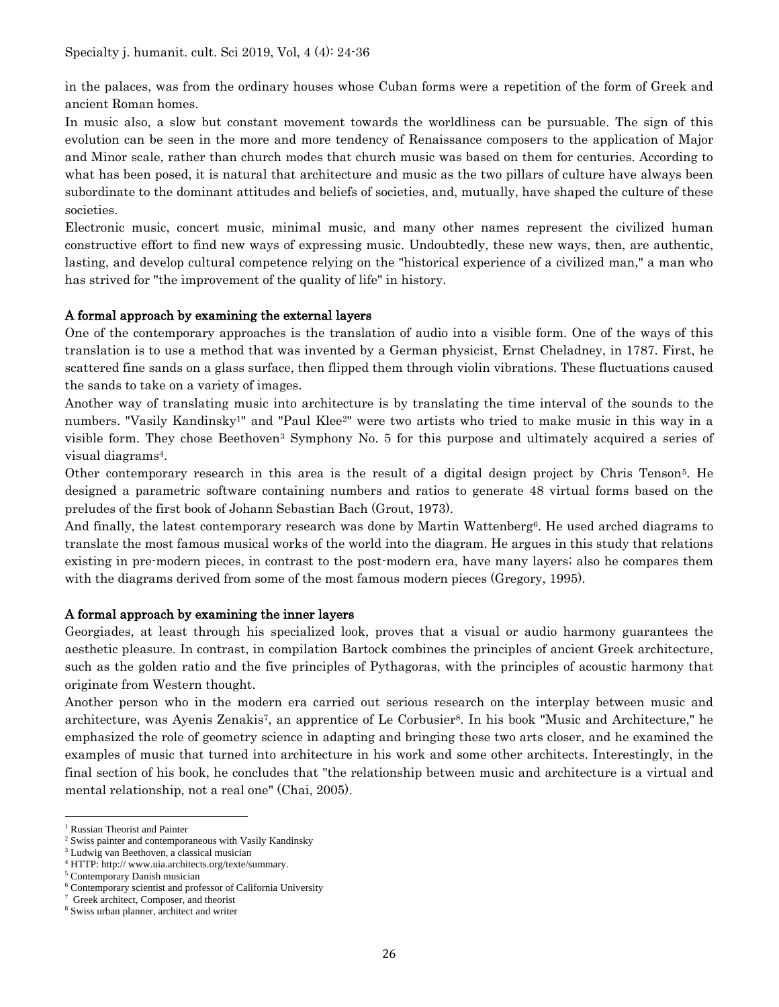in the palaces, was from the ordinary houses whose Cuban forms were a repetition of the form of Greek and ancient Roman homes.

In music also, a slow but constant movement towards the worldliness can be pursuable. The sign of this evolution can be seen in the more and more tendency of Renaissance composers to the application of Major and Minor scale, rather than church modes that church music was based on them for centuries. According to what has been posed, it is natural that architecture and music as the two pillars of culture have always been subordinate to the dominant attitudes and beliefs of societies, and, mutually, have shaped the culture of these societies.

Electronic music, concert music, minimal music, and many other names represent the civilized human constructive effort to find new ways of expressing music. Undoubtedly, these new ways, then, are authentic, lasting, and develop cultural competence relying on the "historical experience of a civilized man," a man who has strived for "the improvement of the quality of life" in history.

#### A formal approach by examining the external layers

One of the contemporary approaches is the translation of audio into a visible form. One of the ways of this translation is to use a method that was invented by a German physicist, Ernst Cheladney, in 1787. First, he scattered fine sands on a glass surface, then flipped them through violin vibrations. These fluctuations caused the sands to take on a variety of images.

Another way of translating music into architecture is by translating the time interval of the sounds to the numbers. "Vasily Kandinsky<sup>1</sup>" and "Paul Klee<sup>2</sup>" were two artists who tried to make music in this way in a visible form. They chose Beethoven<sup>3</sup> Symphony No. 5 for this purpose and ultimately acquired a series of visual diagrams4.

Other contemporary research in this area is the result of a digital design project by Chris Tenson5. He designed a parametric software containing numbers and ratios to generate 48 virtual forms based on the preludes of the first book of Johann Sebastian Bach (Grout, 1973).

And finally, the latest contemporary research was done by Martin Wattenberg<sup>6</sup>. He used arched diagrams to translate the most famous musical works of the world into the diagram. He argues in this study that relations existing in pre-modern pieces, in contrast to the post-modern era, have many layers; also he compares them with the diagrams derived from some of the most famous modern pieces (Gregory, 1995).

#### A formal approach by examining the inner layers

Georgiades, at least through his specialized look, proves that a visual or audio harmony guarantees the aesthetic pleasure. In contrast, in compilation Bartock combines the principles of ancient Greek architecture, such as the golden ratio and the five principles of Pythagoras, with the principles of acoustic harmony that originate from Western thought.

Another person who in the modern era carried out serious research on the interplay between music and architecture, was Ayenis Zenakis7, an apprentice of Le Corbusier8. In his book "Music and Architecture," he emphasized the role of geometry science in adapting and bringing these two arts closer, and he examined the examples of music that turned into architecture in his work and some other architects. Interestingly, in the final section of his book, he concludes that "the relationship between music and architecture is a virtual and mental relationship, not a real one" (Chai, 2005).

<sup>&</sup>lt;sup>1</sup> Russian Theorist and Painter

<sup>2</sup> Swiss painter and contemporaneous with Vasily Kandinsky

<sup>3</sup> Ludwig van Beethoven, a classical musician

<sup>4</sup> HTTP: http:// www.uia.architects.org/texte/summary.

<sup>5</sup> Contemporary Danish musician

<sup>6</sup> Contemporary scientist and professor of California University

Greek architect, Composer, and theorist

<sup>8</sup> Swiss urban planner, architect and writer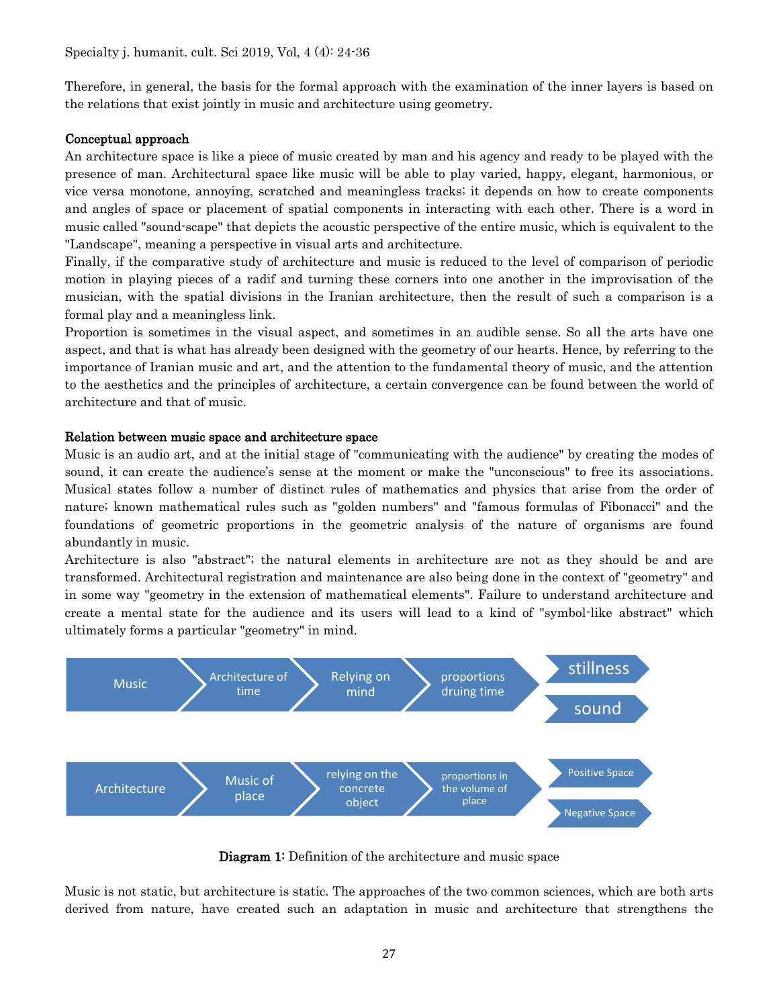Therefore, in general, the basis for the formal approach with the examination of the inner layers is based on the relations that exist jointly in music and architecture using geometry.

### Conceptual approach

An architecture space is like a piece of music created by man and his agency and ready to be played with the presence of man. Architectural space like music will be able to play varied, happy, elegant, harmonious, or vice versa monotone, annoying, scratched and meaningless tracks; it depends on how to create components and angles of space or placement of spatial components in interacting with each other. There is a word in music called "sound-scape" that depicts the acoustic perspective of the entire music, which is equivalent to the "Landscape", meaning a perspective in visual arts and architecture.

Finally, if the comparative study of architecture and music is reduced to the level of comparison of periodic motion in playing pieces of a radif and turning these corners into one another in the improvisation of the musician, with the spatial divisions in the Iranian architecture, then the result of such a comparison is a formal play and a meaningless link.

Proportion is sometimes in the visual aspect, and sometimes in an audible sense. So all the arts have one aspect, and that is what has already been designed with the geometry of our hearts. Hence, by referring to the importance of Iranian music and art, and the attention to the fundamental theory of music, and the attention to the aesthetics and the principles of architecture, a certain convergence can be found between the world of architecture and that of music.

### Relation between music space and architecture space

Music is an audio art, and at the initial stage of "communicating with the audience" by creating the modes of sound, it can create the audience's sense at the moment or make the "unconscious" to free its associations. Musical states follow a number of distinct rules of mathematics and physics that arise from the order of nature; known mathematical rules such as "golden numbers" and "famous formulas of Fibonacci" and the foundations of geometric proportions in the geometric analysis of the nature of organisms are found abundantly in music.

Architecture is also "abstract"; the natural elements in architecture are not as they should be and are transformed. Architectural registration and maintenance are also being done in the context of "geometry" and in some way "geometry in the extension of mathematical elements". Failure to understand architecture and create a mental state for the audience and its users will lead to a kind of "symbol-like abstract" which ultimately forms a particular "geometry" in mind.



Diagram 1: Definition of the architecture and music space

Music is not static, but architecture is static. The approaches of the two common sciences, which are both arts derived from nature, have created such an adaptation in music and architecture that strengthens the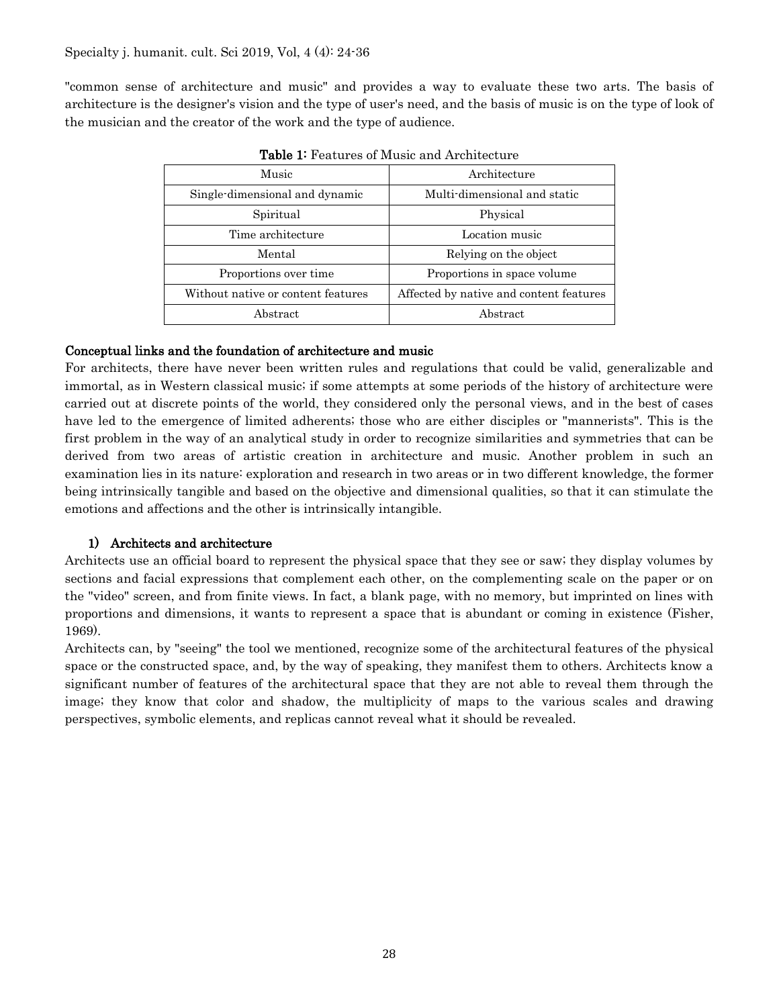"common sense of architecture and music" and provides a way to evaluate these two arts. The basis of architecture is the designer's vision and the type of user's need, and the basis of music is on the type of look of the musician and the creator of the work and the type of audience.

| Music                              | Architecture                            |
|------------------------------------|-----------------------------------------|
| Single-dimensional and dynamic     | Multi-dimensional and static            |
| Spiritual                          | Physical                                |
| Time architecture                  | Location music                          |
| Mental                             | Relying on the object                   |
| Proportions over time              | Proportions in space volume             |
| Without native or content features | Affected by native and content features |
| Abstract                           | Abstract                                |

Table 1: Features of Music and Architecture

### Conceptual links and the foundation of architecture and music

For architects, there have never been written rules and regulations that could be valid, generalizable and immortal, as in Western classical music; if some attempts at some periods of the history of architecture were carried out at discrete points of the world, they considered only the personal views, and in the best of cases have led to the emergence of limited adherents; those who are either disciples or "mannerists". This is the first problem in the way of an analytical study in order to recognize similarities and symmetries that can be derived from two areas of artistic creation in architecture and music. Another problem in such an examination lies in its nature: exploration and research in two areas or in two different knowledge, the former being intrinsically tangible and based on the objective and dimensional qualities, so that it can stimulate the emotions and affections and the other is intrinsically intangible.

### 1) Architects and architecture

Architects use an official board to represent the physical space that they see or saw; they display volumes by sections and facial expressions that complement each other, on the complementing scale on the paper or on the "video" screen, and from finite views. In fact, a blank page, with no memory, but imprinted on lines with proportions and dimensions, it wants to represent a space that is abundant or coming in existence (Fisher, 1969).

Architects can, by "seeing" the tool we mentioned, recognize some of the architectural features of the physical space or the constructed space, and, by the way of speaking, they manifest them to others. Architects know a significant number of features of the architectural space that they are not able to reveal them through the image; they know that color and shadow, the multiplicity of maps to the various scales and drawing perspectives, symbolic elements, and replicas cannot reveal what it should be revealed.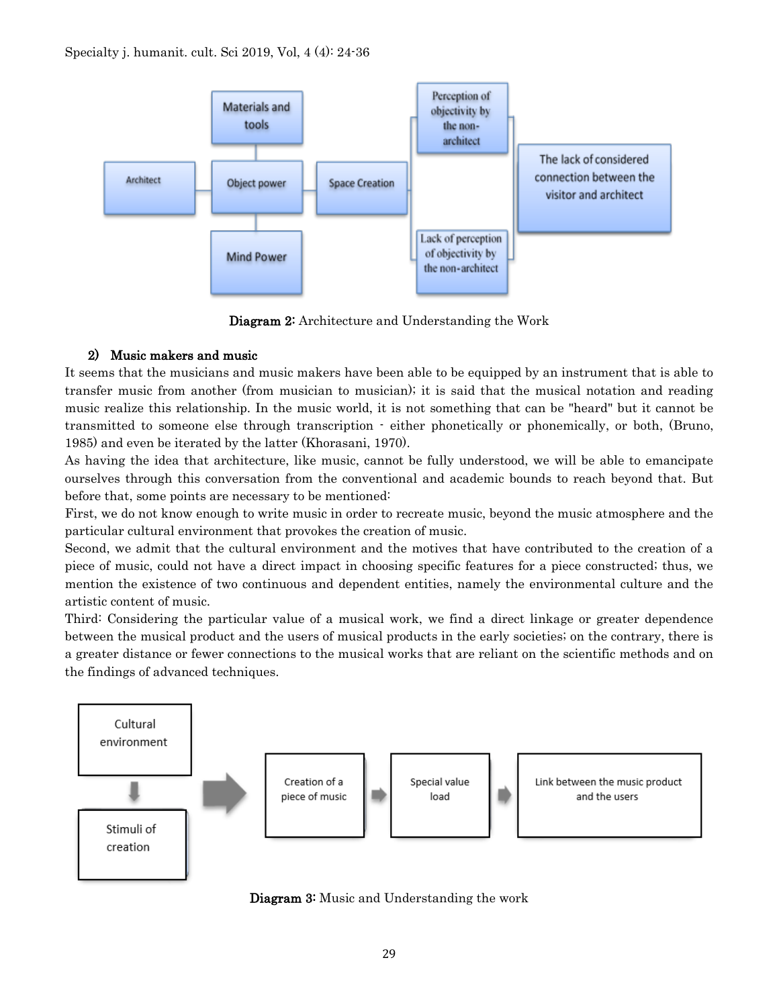

Diagram 2: Architecture and Understanding the Work

# 2) Music makers and music

It seems that the musicians and music makers have been able to be equipped by an instrument that is able to transfer music from another (from musician to musician); it is said that the musical notation and reading music realize this relationship. In the music world, it is not something that can be "heard" but it cannot be transmitted to someone else through transcription - either phonetically or phonemically, or both, (Bruno, 1985) and even be iterated by the latter (Khorasani, 1970).

As having the idea that architecture, like music, cannot be fully understood, we will be able to emancipate ourselves through this conversation from the conventional and academic bounds to reach beyond that. But before that, some points are necessary to be mentioned:

First, we do not know enough to write music in order to recreate music, beyond the music atmosphere and the particular cultural environment that provokes the creation of music.

Second, we admit that the cultural environment and the motives that have contributed to the creation of a piece of music, could not have a direct impact in choosing specific features for a piece constructed; thus, we mention the existence of two continuous and dependent entities, namely the environmental culture and the artistic content of music.

Third: Considering the particular value of a musical work, we find a direct linkage or greater dependence between the musical product and the users of musical products in the early societies; on the contrary, there is a greater distance or fewer connections to the musical works that are reliant on the scientific methods and on the findings of advanced techniques.



Diagram 3: Music and Understanding the work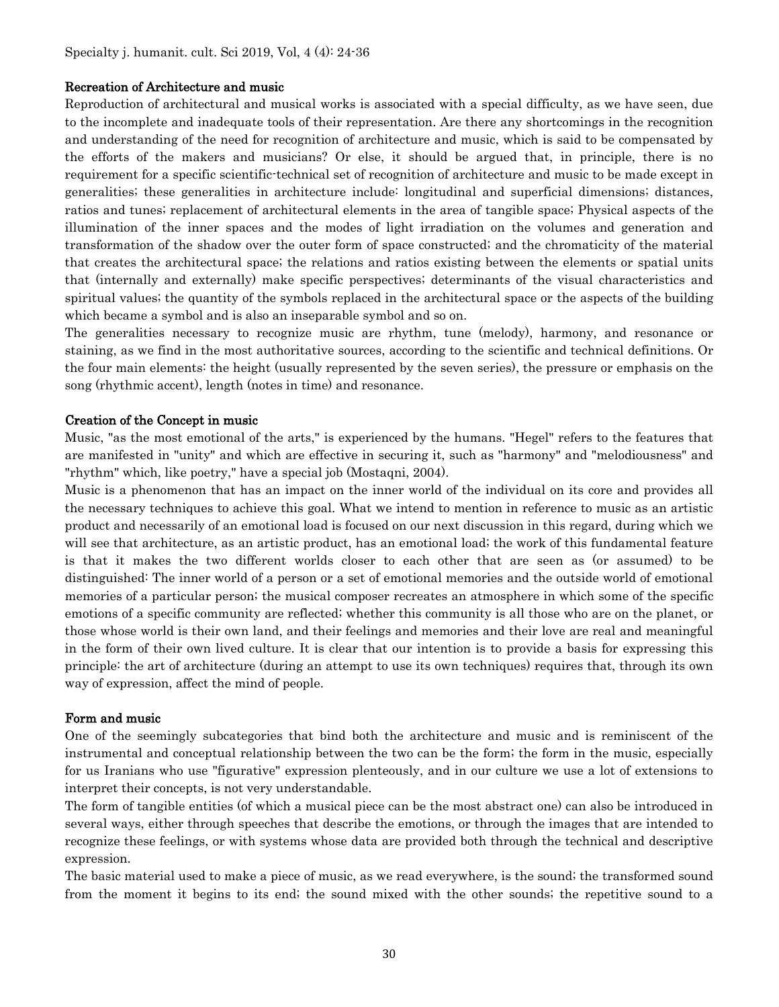#### Recreation of Architecture and music

Reproduction of architectural and musical works is associated with a special difficulty, as we have seen, due to the incomplete and inadequate tools of their representation. Are there any shortcomings in the recognition and understanding of the need for recognition of architecture and music, which is said to be compensated by the efforts of the makers and musicians? Or else, it should be argued that, in principle, there is no requirement for a specific scientific-technical set of recognition of architecture and music to be made except in generalities; these generalities in architecture include: longitudinal and superficial dimensions; distances, ratios and tunes; replacement of architectural elements in the area of tangible space; Physical aspects of the illumination of the inner spaces and the modes of light irradiation on the volumes and generation and transformation of the shadow over the outer form of space constructed; and the chromaticity of the material that creates the architectural space; the relations and ratios existing between the elements or spatial units that (internally and externally) make specific perspectives; determinants of the visual characteristics and spiritual values; the quantity of the symbols replaced in the architectural space or the aspects of the building which became a symbol and is also an inseparable symbol and so on.

The generalities necessary to recognize music are rhythm, tune (melody), harmony, and resonance or staining, as we find in the most authoritative sources, according to the scientific and technical definitions. Or the four main elements: the height (usually represented by the seven series), the pressure or emphasis on the song (rhythmic accent), length (notes in time) and resonance.

#### Creation of the Concept in music

Music, "as the most emotional of the arts," is experienced by the humans. "Hegel" refers to the features that are manifested in "unity" and which are effective in securing it, such as "harmony" and "melodiousness" and "rhythm" which, like poetry," have a special job (Mostaqni, 2004).

Music is a phenomenon that has an impact on the inner world of the individual on its core and provides all the necessary techniques to achieve this goal. What we intend to mention in reference to music as an artistic product and necessarily of an emotional load is focused on our next discussion in this regard, during which we will see that architecture, as an artistic product, has an emotional load; the work of this fundamental feature is that it makes the two different worlds closer to each other that are seen as (or assumed) to be distinguished: The inner world of a person or a set of emotional memories and the outside world of emotional memories of a particular person; the musical composer recreates an atmosphere in which some of the specific emotions of a specific community are reflected; whether this community is all those who are on the planet, or those whose world is their own land, and their feelings and memories and their love are real and meaningful in the form of their own lived culture. It is clear that our intention is to provide a basis for expressing this principle: the art of architecture (during an attempt to use its own techniques) requires that, through its own way of expression, affect the mind of people.

#### Form and music

One of the seemingly subcategories that bind both the architecture and music and is reminiscent of the instrumental and conceptual relationship between the two can be the form; the form in the music, especially for us Iranians who use "figurative" expression plenteously, and in our culture we use a lot of extensions to interpret their concepts, is not very understandable.

The form of tangible entities (of which a musical piece can be the most abstract one) can also be introduced in several ways, either through speeches that describe the emotions, or through the images that are intended to recognize these feelings, or with systems whose data are provided both through the technical and descriptive expression.

The basic material used to make a piece of music, as we read everywhere, is the sound; the transformed sound from the moment it begins to its end; the sound mixed with the other sounds; the repetitive sound to a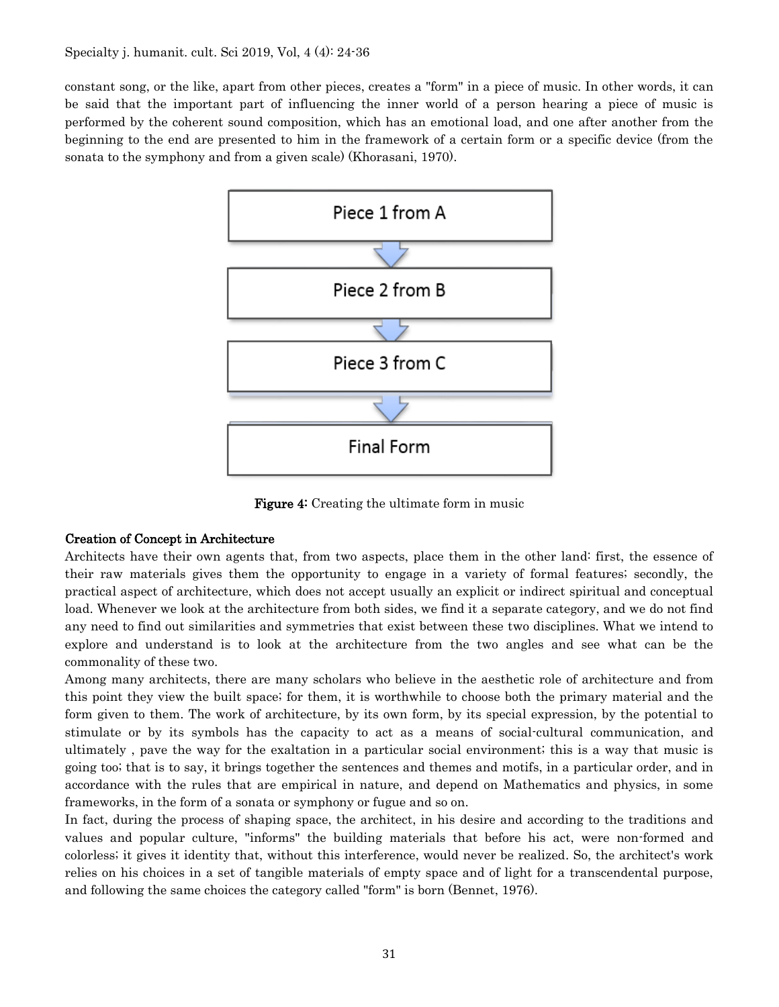constant song, or the like, apart from other pieces, creates a "form" in a piece of music. In other words, it can be said that the important part of influencing the inner world of a person hearing a piece of music is performed by the coherent sound composition, which has an emotional load, and one after another from the beginning to the end are presented to him in the framework of a certain form or a specific device (from the sonata to the symphony and from a given scale) (Khorasani, 1970).



Figure 4: Creating the ultimate form in music

### Creation of Concept in Architecture

Architects have their own agents that, from two aspects, place them in the other land: first, the essence of their raw materials gives them the opportunity to engage in a variety of formal features; secondly, the practical aspect of architecture, which does not accept usually an explicit or indirect spiritual and conceptual load. Whenever we look at the architecture from both sides, we find it a separate category, and we do not find any need to find out similarities and symmetries that exist between these two disciplines. What we intend to explore and understand is to look at the architecture from the two angles and see what can be the commonality of these two.

Among many architects, there are many scholars who believe in the aesthetic role of architecture and from this point they view the built space; for them, it is worthwhile to choose both the primary material and the form given to them. The work of architecture, by its own form, by its special expression, by the potential to stimulate or by its symbols has the capacity to act as a means of social-cultural communication, and ultimately , pave the way for the exaltation in a particular social environment; this is a way that music is going too; that is to say, it brings together the sentences and themes and motifs, in a particular order, and in accordance with the rules that are empirical in nature, and depend on Mathematics and physics, in some frameworks, in the form of a sonata or symphony or fugue and so on.

In fact, during the process of shaping space, the architect, in his desire and according to the traditions and values and popular culture, "informs" the building materials that before his act, were non-formed and colorless; it gives it identity that, without this interference, would never be realized. So, the architect's work relies on his choices in a set of tangible materials of empty space and of light for a transcendental purpose, and following the same choices the category called "form" is born (Bennet, 1976).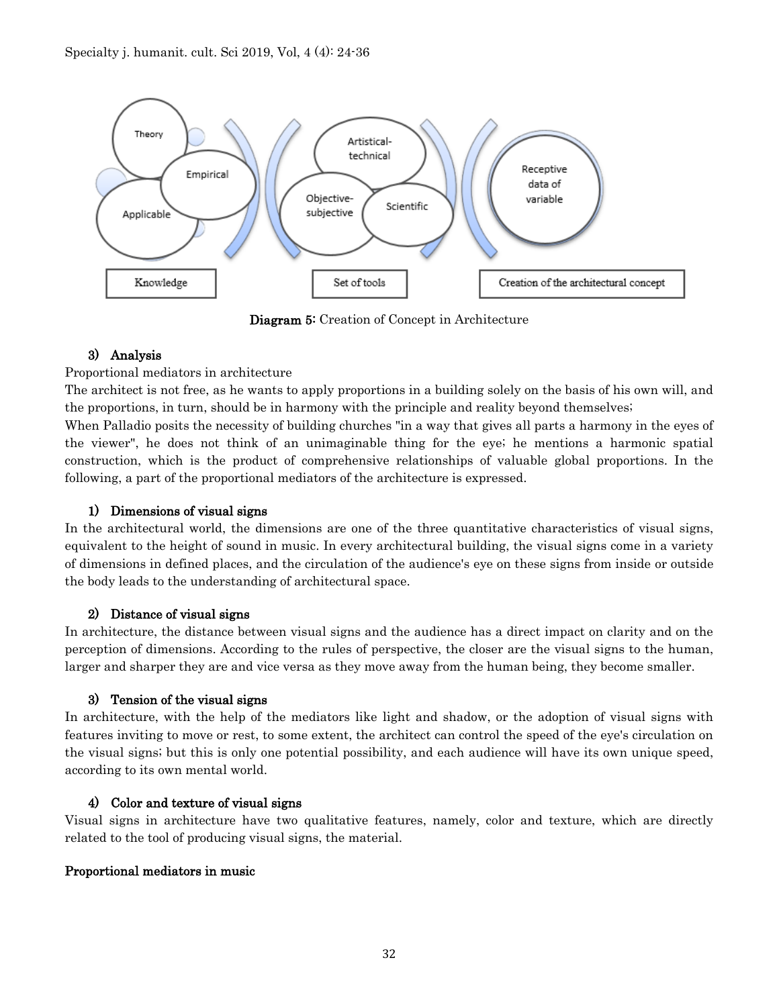

Diagram 5: Creation of Concept in Architecture

# 3) Analysis

### Proportional mediators in architecture

The architect is not free, as he wants to apply proportions in a building solely on the basis of his own will, and the proportions, in turn, should be in harmony with the principle and reality beyond themselves;

When Palladio posits the necessity of building churches "in a way that gives all parts a harmony in the eyes of the viewer", he does not think of an unimaginable thing for the eye; he mentions a harmonic spatial construction, which is the product of comprehensive relationships of valuable global proportions. In the following, a part of the proportional mediators of the architecture is expressed.

## 1) Dimensions of visual signs

In the architectural world, the dimensions are one of the three quantitative characteristics of visual signs, equivalent to the height of sound in music. In every architectural building, the visual signs come in a variety of dimensions in defined places, and the circulation of the audience's eye on these signs from inside or outside the body leads to the understanding of architectural space.

### 2) Distance of visual signs

In architecture, the distance between visual signs and the audience has a direct impact on clarity and on the perception of dimensions. According to the rules of perspective, the closer are the visual signs to the human, larger and sharper they are and vice versa as they move away from the human being, they become smaller.

### 3) Tension of the visual signs

In architecture, with the help of the mediators like light and shadow, or the adoption of visual signs with features inviting to move or rest, to some extent, the architect can control the speed of the eye's circulation on the visual signs; but this is only one potential possibility, and each audience will have its own unique speed, according to its own mental world.

### 4) Color and texture of visual signs

Visual signs in architecture have two qualitative features, namely, color and texture, which are directly related to the tool of producing visual signs, the material.

### Proportional mediators in music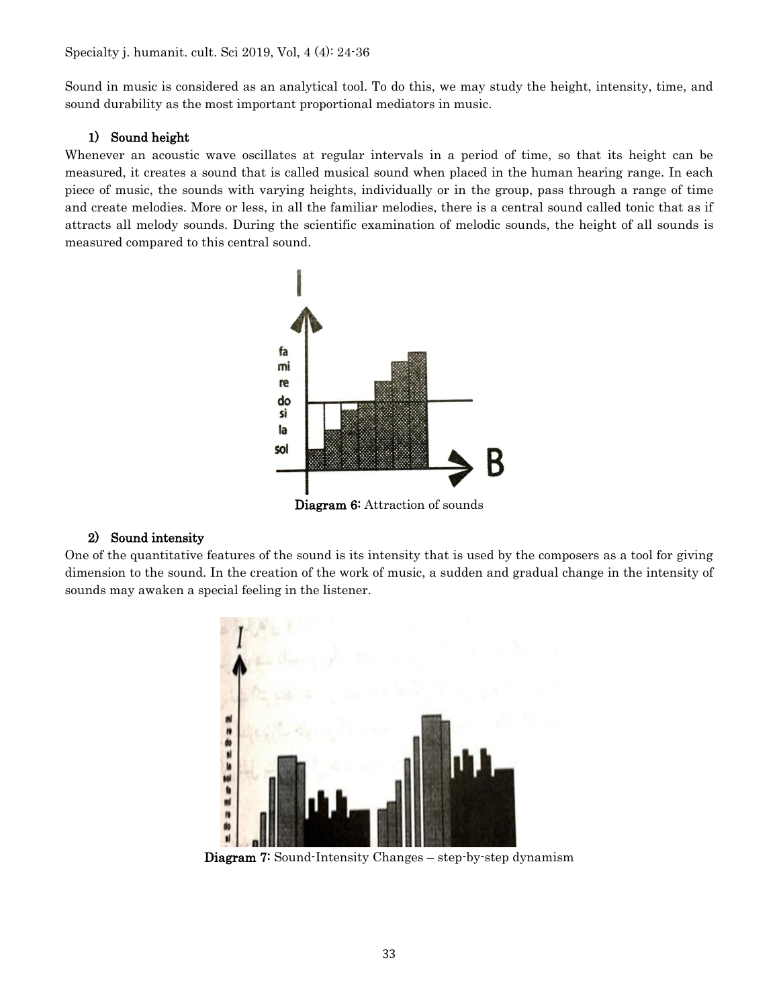Sound in music is considered as an analytical tool. To do this, we may study the height, intensity, time, and sound durability as the most important proportional mediators in music.

### 1) Sound height

Whenever an acoustic wave oscillates at regular intervals in a period of time, so that its height can be measured, it creates a sound that is called musical sound when placed in the human hearing range. In each piece of music, the sounds with varying heights, individually or in the group, pass through a range of time and create melodies. More or less, in all the familiar melodies, there is a central sound called tonic that as if attracts all melody sounds. During the scientific examination of melodic sounds, the height of all sounds is measured compared to this central sound.



### 2) Sound intensity

One of the quantitative features of the sound is its intensity that is used by the composers as a tool for giving dimension to the sound. In the creation of the work of music, a sudden and gradual change in the intensity of sounds may awaken a special feeling in the listener.



Diagram 7: Sound-Intensity Changes – step-by-step dynamism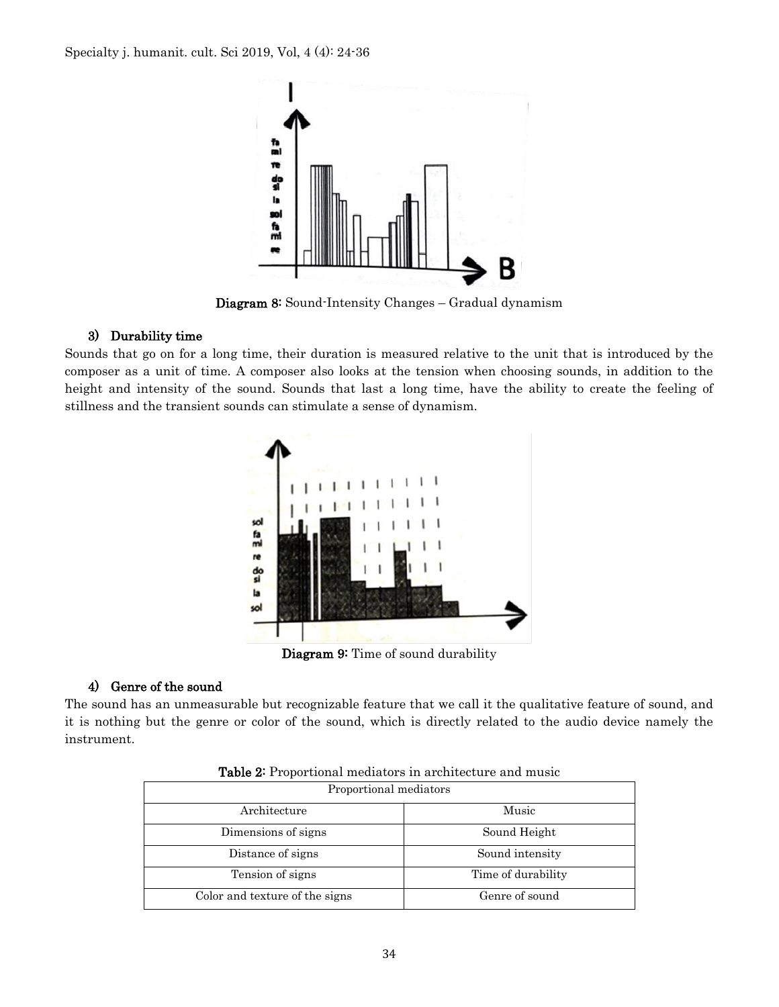

Diagram 8: Sound-Intensity Changes – Gradual dynamism

### 3) Durability time

Sounds that go on for a long time, their duration is measured relative to the unit that is introduced by the composer as a unit of time. A composer also looks at the tension when choosing sounds, in addition to the height and intensity of the sound. Sounds that last a long time, have the ability to create the feeling of stillness and the transient sounds can stimulate a sense of dynamism.



Diagram 9: Time of sound durability

### 4) Genre of the sound

The sound has an unmeasurable but recognizable feature that we call it the qualitative feature of sound, and it is nothing but the genre or color of the sound, which is directly related to the audio device namely the instrument.

| Proportional mediators         |                    |  |
|--------------------------------|--------------------|--|
| Architecture                   | Music              |  |
| Dimensions of signs            | Sound Height       |  |
| Distance of signs              | Sound intensity    |  |
| Tension of signs               | Time of durability |  |
| Color and texture of the signs | Genre of sound     |  |

Table 2: Proportional mediators in architecture and music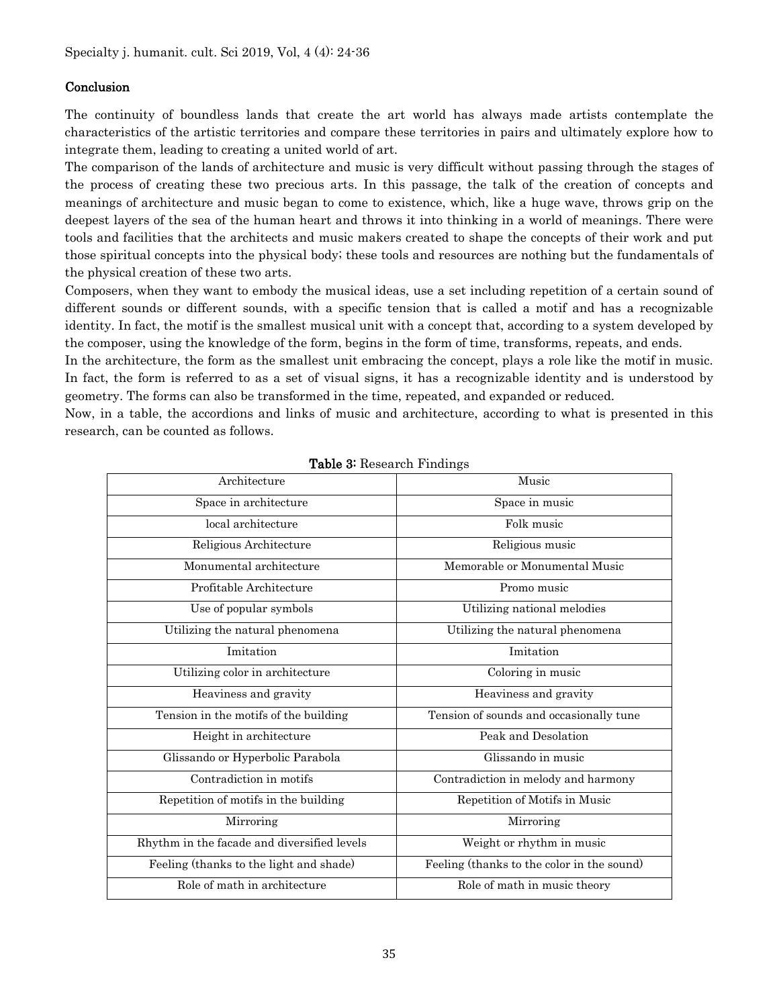### Conclusion

The continuity of boundless lands that create the art world has always made artists contemplate the characteristics of the artistic territories and compare these territories in pairs and ultimately explore how to integrate them, leading to creating a united world of art.

The comparison of the lands of architecture and music is very difficult without passing through the stages of the process of creating these two precious arts. In this passage, the talk of the creation of concepts and meanings of architecture and music began to come to existence, which, like a huge wave, throws grip on the deepest layers of the sea of the human heart and throws it into thinking in a world of meanings. There were tools and facilities that the architects and music makers created to shape the concepts of their work and put those spiritual concepts into the physical body; these tools and resources are nothing but the fundamentals of the physical creation of these two arts.

Composers, when they want to embody the musical ideas, use a set including repetition of a certain sound of different sounds or different sounds, with a specific tension that is called a motif and has a recognizable identity. In fact, the motif is the smallest musical unit with a concept that, according to a system developed by the composer, using the knowledge of the form, begins in the form of time, transforms, repeats, and ends.

In the architecture, the form as the smallest unit embracing the concept, plays a role like the motif in music. In fact, the form is referred to as a set of visual signs, it has a recognizable identity and is understood by geometry. The forms can also be transformed in the time, repeated, and expanded or reduced.

Now, in a table, the accordions and links of music and architecture, according to what is presented in this research, can be counted as follows.

| Architecture                                | Music                                      |
|---------------------------------------------|--------------------------------------------|
| Space in architecture                       | Space in music                             |
| local architecture                          | Folk music                                 |
| Religious Architecture                      | Religious music                            |
| Monumental architecture                     | Memorable or Monumental Music              |
| Profitable Architecture                     | Promo music                                |
| Use of popular symbols                      | Utilizing national melodies                |
| Utilizing the natural phenomena             | Utilizing the natural phenomena            |
| Imitation                                   | Imitation                                  |
| Utilizing color in architecture             | Coloring in music                          |
| Heaviness and gravity                       | Heaviness and gravity                      |
| Tension in the motifs of the building       | Tension of sounds and occasionally tune    |
| Height in architecture                      | Peak and Desolation                        |
| Glissando or Hyperbolic Parabola            | Glissando in music                         |
| Contradiction in motifs                     | Contradiction in melody and harmony        |
| Repetition of motifs in the building        | Repetition of Motifs in Music              |
| Mirroring                                   | Mirroring                                  |
| Rhythm in the facade and diversified levels | Weight or rhythm in music                  |
| Feeling (thanks to the light and shade)     | Feeling (thanks to the color in the sound) |
| Role of math in architecture                | Role of math in music theory               |

#### Table 3: Research Findings